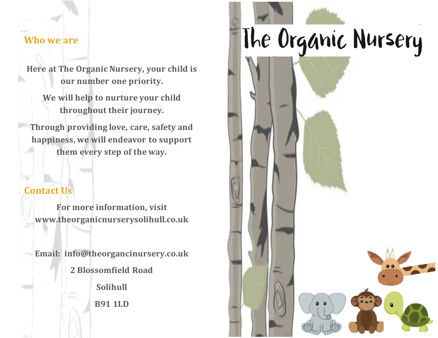### **Who we are**

**Here at The Organic Nursery, your child is our number one priority.**

**We will help to nurture your child throughout their journey.**

**Through providing love, care, safety and happiness, we will endeavor to support them every step of the way.**

### **Contact Us**

**For more information, visit www.theorganicnurserysolihull.co.uk**

**Email: info@theorgancinursery.co.uk 2 Blossomfield Road Solihull B91 1LD**

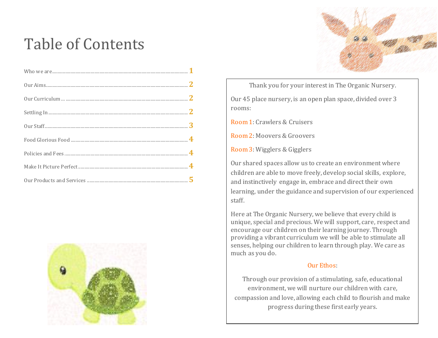# Table of Contents





Thank you for your interest in The Organic Nursery.

Our 45 place nursery, is an open plan space, divided over 3 rooms:

Room 1: Crawlers & Cruisers

Room 2: Moovers & Groovers

Room 3: Wigglers & Gigglers

Our shared spaces allow us to create an environment where children are able to move freely, develop social skills, explore, and instinctively engage in, embrace and direct their own learning, under the guidance and supervision of our experienced staff.

Here at The Organic Nursery, we believe that every child is unique, special and precious. We will support, care, respect and encourage our children on their learning journey. Through providing a vibrant curriculum we will be able to stimulate all senses, helping our children to learn through play. We care as much as you do.

### Our Ethos:

Through our provision of a stimulating, safe, educational environment, we will nurture our children with care, compassion and love, allowing each child to flourish and make progress during these first early years.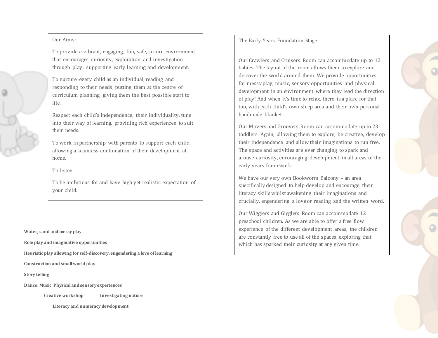#### Our Aims:

To provide a vibrant, engaging, fun, safe, secure environment that encourages curiosity, exploration and investigation through play; supporting early learning and development.

To nurture every child as an individual, reading and responding to their needs, putting them at the centre of curriculum planning, giving them the best possible start to life.

Respect each child's independence, their individuality, tune into their way of learning, providing rich experiences to suit their needs.

To work in partnership with parents to support each child, allowing a seamless continuation of their development at home.

#### To listen.

To be ambitious for and have high yet realistic expectation of your child.

**Water, sand and messy play**

**Role play and imaginative opportunities**

**Heuristic play allowing for self-discovery, engendering a love of learning**

**Construction and small world play**

**Story telling**

**Dance, Music, Physical and sensory experiences**

**Creative workshop Investigating nature** 

 **Literacy and numeracy development**

The Early Years Foundation Stage.

Our Crawlers and Cruisers Room can accommodate up to 12 babies. The layout of the room allows them to explore and discover the world around them. We provide opportunities for messy play, music, sensory opportunities and physical development in an environment where they lead the direction of play! And when it's time to relax, there is a place for that too, with each child's own sleep area and their own personal handmade blanket.

Our Movers and Groovers Room can accommodate up to 23 toddlers. Again, allowing them to explore, be creative, develop their independence and allow their imaginations to run free. The space and activities are ever changing to spark and arouse curiosity, encouraging development in all areas of the early years framework

We have our very own Bookworm Balcony – an area specifically designed to help develop and encourage their literacy skills whilst awakening their imaginations and crucially, engendering a love or reading and the written word.

Our Wigglers and Gigglers Room can accommodate 12 preschool children. As we are able to offer a free flow experience of the different development areas, the children are constantly free to use all of the spaces, exploring that which has sparked their curiosity at any given time.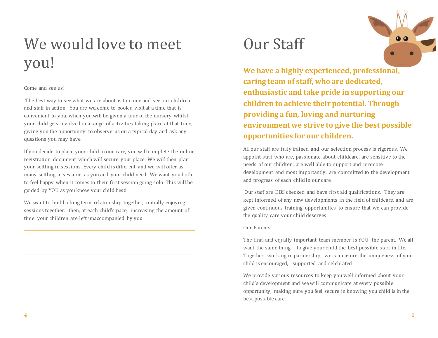# We would love to meet you!

#### Come and see us!

The best way to see what we are about is to come and see our children and staff in action. You are welcome to book a visit at a time that is convenient to you, when you will be given a tour of the nursery whilst your child gets involved in a range of activities taking place at that time, giving you the opportunity to observe us on a typical day and ask any questions you may have.

If you decide to place your child in our care, you will complete the online registration document which will secure your place. We will then plan your settling in sessions. Every child is different and we will offer as many settling in sessions as you and your child need. We want you both to feel happy when it comes to their first session going solo. This will be guided by YOU as you know your child best!

We want to build a long term relationship together, initially enjoying sessions together, then, at each child's pace, increasing the amount of time your children are left unaccompanied by you.

### Our Staff

**We have a highly experienced, professional, caring team of staff, who are dedicated, enthusiastic and take pride in supporting our children to achieve their potential. Through providing a fun, loving and nurturing environment we strive to give the best possible opportunities for our children.** 

All our staff are fully trained and our selection process is rigorous, We appoint staff who are, passionate about childcare, are sensitive to the needs of our children, are well able to support and promote development and most importantly, are committed to the development and progress of each child in our care.

Our staff are DBS checked and have first aid qualifications. They are kept informed of any new developments in the field of childcare, and are given continuous training opportunities to ensure that we can provide the quality care your child deserves.

#### Our Parents

The final and equally important team member is YOU- the parent. We all want the same thing - to give your child the best possible start in life. Together, working in partnership, we can ensure the uniqueness of your child is encouraged, supported and celebrated

We provide various resources to keep you well informed about your child's development and we will communicate at every possible opportunity, making sure you feel secure in knowing you child is in the best possible care.